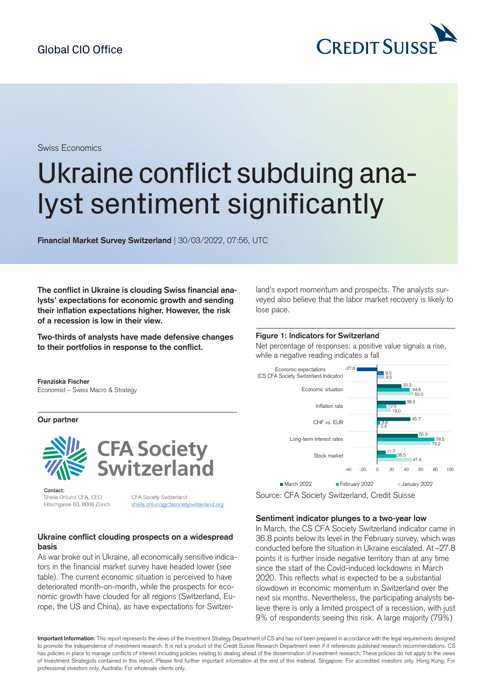

Swiss Economics

# Ukraine conflict subduing analyst sentiment significantly

**Financial Market Survey Switzerland** | 30/03/2022, 07:56, UTC

**The conflict in Ukraine is clouding Swiss financial analysts' expectations for economic growth and sending their inflation expectations higher. However, the risk of a recession is low in their view.**

**Two-thirds of analysts have made defensive changes to their portfolios in response to the conflict.**

land's export momentum and prospects. The analysts surveyed also believe that the labor market recovery is likely to lose pace.

#### **Figure 1: Indicators for Switzerland**

Net percentage of responses: a positive value signals a rise, while a negative reading indicates a fall



Source: CFA Society Switzerland, Credit Suisse

#### **Sentiment indicator plunges to a two-year low**

In March, the CS CFA Society Switzerland indicator came in 36.8 points below its level in the February survey, which was conducted before the situation in Ukraine escalated. At –27.8 points it is further inside negative territory than at any time since the start of the Covid-induced lockdowns in March 2020. This reflects what is expected to be a substantial slowdown in economic momentum in Switzerland over the next six months. Nevertheless, the participating analysts believe there is only a limited prospect of a recession, with just 9% of respondents seeing this risk. A large majority (79%)

**Important Information**: This report represents the views of the Investment Strategy Department of CS and has not been prepared in accordance with the legal requirements designed to promote the independence of investment research. It is not a product of the Credit Suisse Research Department even if it references published research recommendations. CS has policies in place to manage conflicts of interest including policies relating to dealing ahead of the dissemination of investment research. These policies do not apply to the views of Investment Strategists contained in this report. Please find further important information at the end of this material. Singapore: For accredited investors only. Hong Kong: For professional investors only. Australia: For wholesale clients only.

**Franziska Fischer**

Economist – Swiss Macro & Strategy

**Our partner**





Contact: Sheila Ohlund CFA, CEO Höschgasse 83, 8008 Zürich

CFA Society Switzerland sheila.ohlund@cfasocietyswitzerland.org

# **Ukraine conflict clouding prospects on a widespread basis**

As war broke out in Ukraine, all economically sensitive indicators in the financial market survey have headed lower (see table). The current economic situation is perceived to have deteriorated month-on-month, while the prospects for economic growth have clouded for all regions (Switzerland, Europe, the US and China), as have expectations for Switzer-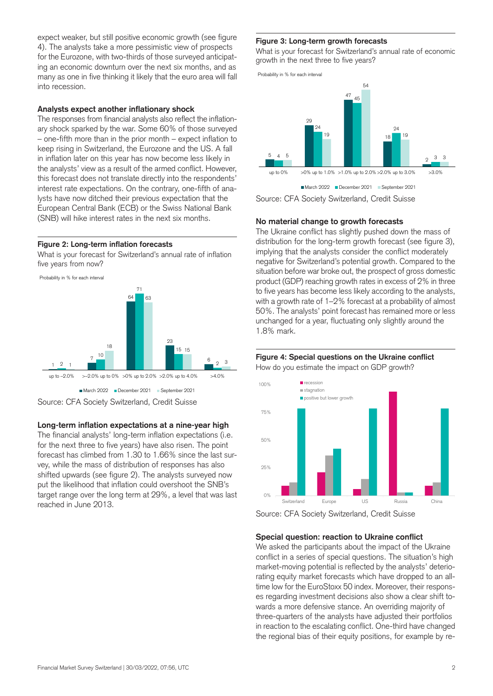expect weaker, but still positive economic growth (see figure 4). The analysts take a more pessimistic view of prospects for the Eurozone, with two-thirds of those surveyed anticipating an economic downturn over the next six months, and as many as one in five thinking it likely that the euro area will fall into recession.

#### **Analysts expect another inflationary shock**

The responses from financial analysts also reflect the inflationary shock sparked by the war. Some 60% of those surveyed – one-fifth more than in the prior month – expect inflation to keep rising in Switzerland, the Eurozone and the US. A fall in inflation later on this year has now become less likely in the analysts' view as a result of the armed conflict. However, this forecast does not translate directly into the respondents' interest rate expectations. On the contrary, one-fifth of analysts have now ditched their previous expectation that the European Central Bank (ECB) or the Swiss National Bank (SNB) will hike interest rates in the next six months.

# **Figure 2: Long-term inflation forecasts**

What is your forecast for Switzerland's annual rate of inflation five years from now?



# **Long-term inflation expectations at a nine-year high**

The financial analysts' long-term inflation expectations (i.e. for the next three to five years) have also risen. The point forecast has climbed from 1.30 to 1.66% since the last survey, while the mass of distribution of responses has also shifted upwards (see figure 2). The analysts surveyed now put the likelihood that inflation could overshoot the SNB's target range over the long term at 29%, a level that was last reached in June 2013.

#### **Figure 3: Long-term growth forecasts**

What is your forecast for Switzerland's annual rate of economic growth in the next three to five years?

Probability in % for each interval



Source: CFA Society Switzerland, Credit Suisse

#### **No material change to growth forecasts**

The Ukraine conflict has slightly pushed down the mass of distribution for the long-term growth forecast (see figure 3). implying that the analysts consider the conflict moderately negative for Switzerland's potential growth. Compared to the situation before war broke out, the prospect of gross domestic product (GDP) reaching growth rates in excess of 2% in three to five years has become less likely according to the analysts, with a growth rate of 1–2% forecast at a probability of almost 50%. The analysts' point forecast has remained more or less unchanged for a year, fluctuating only slightly around the 1.8% mark.

## 3 How do you estimate the impact on GDP growth? **Figure 4: Special questions on the Ukraine conflict**



Source: CFA Society Switzerland, Credit Suisse

# **Special question: reaction to Ukraine conflict**

We asked the participants about the impact of the Ukraine conflict in a series of special questions. The situation's high market-moving potential is reflected by the analysts' deteriorating equity market forecasts which have dropped to an alltime low for the EuroStoxx 50 index. Moreover, their responses regarding investment decisions also show a clear shift towards a more defensive stance. An overriding majority of three-quarters of the analysts have adjusted their portfolios in reaction to the escalating conflict. One-third have changed the regional bias of their equity positions, for example by re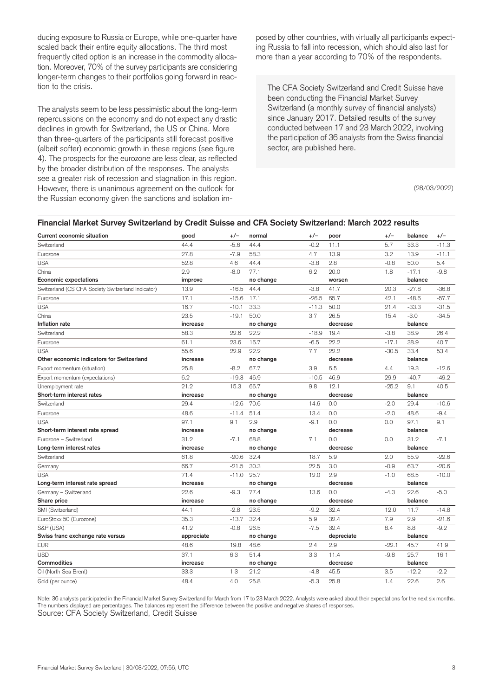ducing exposure to Russia or Europe, while one-quarter have scaled back their entire equity allocations. The third most frequently cited option is an increase in the commodity allocation. Moreover, 70% of the survey participants are considering longer-term changes to their portfolios going forward in reaction to the crisis.

The analysts seem to be less pessimistic about the long-term repercussions on the economy and do not expect any drastic declines in growth for Switzerland, the US or China. More than three-quarters of the participants still forecast positive (albeit softer) economic growth in these regions (see figure 4). The prospects for the eurozone are less clear, as reflected by the broader distribution of the responses. The analysts see a greater risk of recession and stagnation in this region. However, there is unanimous agreement on the outlook for the Russian economy given the sanctions and isolation imposed by other countries, with virtually all participants expecting Russia to fall into recession, which should also last for more than a year according to 70% of the respondents.

The CFA Society Switzerland and Credit Suisse have been conducting the Financial Market Survey Switzerland (a monthly survey of financial analysts) since January 2017. Detailed results of the survey conducted between 17 and 23 March 2022, involving the participation of 36 analysts from the Swiss financial sector, are published here.

(28/03/2022)

#### **Financial Market Survey Switzerland by Credit Suisse and CFA Society Switzerland: March 2022 results**

| <b>Current economic situation</b>                  | good       | $+/-$   | normal    | $+/-$   | poor       | $+/-$   | balance | $+/-$   |
|----------------------------------------------------|------------|---------|-----------|---------|------------|---------|---------|---------|
| Switzerland                                        | 44.4       | $-5.6$  | 44.4      | $-0.2$  | 11.1       | 5.7     | 33.3    | $-11.3$ |
| Eurozone                                           | 27.8       | $-7.9$  | 58.3      | 4.7     | 13.9       | 3.2     | 13.9    | $-11.1$ |
| <b>USA</b>                                         | 52.8       | 4.6     | 44.4      | $-3.8$  | 2.8        | $-0.8$  | 50.0    | 5.4     |
| China                                              | 2.9        | $-8.0$  | 77.1      | 6.2     | 20.0       | 1.8     | $-17.1$ | $-9.8$  |
| <b>Economic expectations</b>                       | improve    |         | no change |         | worsen     |         | balance |         |
| Switzerland (CS CFA Society Switzerland Indicator) | 13.9       | $-16.5$ | 44.4      | $-3.8$  | 41.7       | 20.3    | $-27.8$ | $-36.8$ |
| Eurozone                                           | 17.1       | $-15.6$ | 17.1      | $-26.5$ | 65.7       | 42.1    | $-48.6$ | $-57.7$ |
| <b>USA</b>                                         | 16.7       | $-10.1$ | 33.3      | $-11.3$ | 50.0       | 21.4    | $-33.3$ | $-31.5$ |
| China                                              | 23.5       | $-19.1$ | 50.0      | 3.7     | 26.5       | 15.4    | $-3.0$  | $-34.5$ |
| Inflation rate                                     | increase   |         | no change |         | decrease   |         | balance |         |
| Switzerland                                        | 58.3       | 22.6    | 22.2      | $-18.9$ | 19.4       | $-3.8$  | 38.9    | 26.4    |
| Eurozone                                           | 61.1       | 23.6    | 16.7      | $-6.5$  | 22.2       | $-17.1$ | 38.9    | 40.7    |
| <b>USA</b>                                         | 55.6       | 22.9    | 22.2      | 7.7     | 22.2       | $-30.5$ | 33.4    | 53.4    |
| Other economic indicators for Switzerland          | increase   |         | no change |         | decrease   |         | balance |         |
| Export momentum (situation)                        | 25.8       | $-8.2$  | 67.7      | 3.9     | 6.5        | 4.4     | 19.3    | $-12.6$ |
| Export momentum (expectations)                     | 6.2        | $-19.3$ | 46.9      | $-10.5$ | 46.9       | 29.9    | $-40.7$ | $-49.2$ |
| Unemployment rate                                  | 21.2       | 15.3    | 66.7      | 9.8     | 12.1       | $-25.2$ | 9.1     | 40.5    |
| Short-term interest rates                          | increase   |         | no change |         | decrease   |         | balance |         |
| Switzerland                                        | 29.4       | $-12.6$ | 70.6      | 14.6    | 0.0        | $-2.0$  | 29.4    | $-10.6$ |
| Eurozone                                           | 48.6       | $-11.4$ | 51.4      | 13.4    | 0.0        | $-2.0$  | 48.6    | $-9.4$  |
| <b>USA</b>                                         | 97.1       | 9.1     | 2.9       | $-9.1$  | 0.0        | 0.0     | 97.1    | 9.1     |
| Short-term interest rate spread                    | increase   |         | no change |         | decrease   |         | balance |         |
| Eurozone - Switzerland                             | 31.2       | $-7.1$  | 68.8      | 7.1     | 0.0        | 0.0     | 31.2    | $-7.1$  |
| Long-term interest rates                           | increase   |         | no change |         | decrease   |         | balance |         |
| Switzerland                                        | 61.8       | $-20.6$ | 32.4      | 18.7    | 5.9        | 2.0     | 55.9    | $-22.6$ |
| Germany                                            | 66.7       | $-21.5$ | 30.3      | 22.5    | 3.0        | $-0.9$  | 63.7    | $-20.6$ |
| <b>USA</b>                                         | 71.4       | $-11.0$ | 25.7      | 12.0    | 2.9        | $-1.0$  | 68.5    | $-10.0$ |
| Long-term interest rate spread                     | increase   |         | no change |         | decrease   |         | balance |         |
| Germany - Switzerland                              | 22.6       | $-9.3$  | 77.4      | 13.6    | 0.0        | $-4.3$  | 22.6    | $-5.0$  |
| Share price                                        | increase   |         | no change |         | decrease   |         | balance |         |
| SMI (Switzerland)                                  | 44.1       | $-2.8$  | 23.5      | $-9.2$  | 32.4       | 12.0    | 11.7    | $-14.8$ |
| EuroStoxx 50 (Eurozone)                            | 35.3       | $-13.7$ | 32.4      | 5.9     | 32.4       | 7.9     | 2.9     | $-21.6$ |
| S&P (USA)                                          | 41.2       | $-0.8$  | 26.5      | $-7.5$  | 32.4       | 8.4     | 8.8     | $-9.2$  |
| Swiss franc exchange rate versus                   | appreciate |         | no change |         | depreciate |         | balance |         |
| <b>EUR</b>                                         | 48.6       | 19.8    | 48.6      | 2.4     | 2.9        | $-22.1$ | 45.7    | 41.9    |
| <b>USD</b>                                         | 37.1       | 6.3     | 51.4      | 3.3     | 11.4       | $-9.8$  | 25.7    | 16.1    |
| <b>Commodities</b>                                 | increase   |         | no change |         | decrease   |         | balance |         |
| Oil (North Sea Brent)                              | 33.3       | 1.3     | 21.2      | $-4.8$  | 45.5       | 3.5     | $-12.2$ | $-2.2$  |
| Gold (per ounce)                                   | 48.4       | 4.0     | 25.8      | $-5.3$  | 25.8       | 1.4     | 22.6    | 2.6     |

Note: 36 analysts participated in the Financial Market Survey Switzerland for March from 17 to 23 March 2022. Analysts were asked about their expectations for the next six months. The numbers displayed are percentages. The balances represent the difference between the positive and negative shares of responses. Source: CFA Society Switzerland, Credit Suisse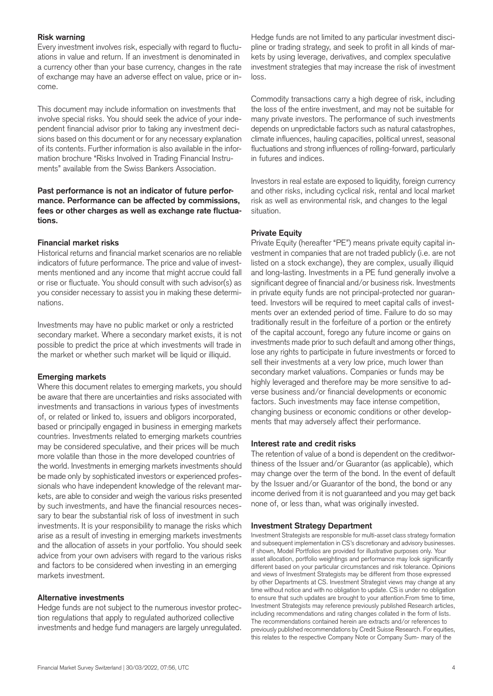## **Risk warning**

Every investment involves risk, especially with regard to fluctuations in value and return. If an investment is denominated in a currency other than your base currency, changes in the rate of exchange may have an adverse effect on value, price or income.

This document may include information on investments that involve special risks. You should seek the advice of your independent financial advisor prior to taking any investment decisions based on this document or for any necessary explanation of its contents. Further information is also available in the information brochure "Risks Involved in Trading Financial Instruments" available from the Swiss Bankers Association.

# **Past performance is not an indicator of future performance. Performance can be affected by commissions, fees or other charges as well as exchange rate fluctuations.**

# **Financial market risks**

Historical returns and financial market scenarios are no reliable indicators of future performance. The price and value of investments mentioned and any income that might accrue could fall or rise or fluctuate. You should consult with such advisor(s) as you consider necessary to assist you in making these determinations.

Investments may have no public market or only a restricted secondary market. Where a secondary market exists, it is not possible to predict the price at which investments will trade in the market or whether such market will be liquid or illiquid.

#### **Emerging markets**

Where this document relates to emerging markets, you should be aware that there are uncertainties and risks associated with investments and transactions in various types of investments of, or related or linked to, issuers and obligors incorporated, based or principally engaged in business in emerging markets countries. Investments related to emerging markets countries may be considered speculative, and their prices will be much more volatile than those in the more developed countries of the world. Investments in emerging markets investments should be made only by sophisticated investors or experienced professionals who have independent knowledge of the relevant markets, are able to consider and weigh the various risks presented by such investments, and have the financial resources necessary to bear the substantial risk of loss of investment in such investments. It is your responsibility to manage the risks which arise as a result of investing in emerging markets investments and the allocation of assets in your portfolio. You should seek advice from your own advisers with regard to the various risks and factors to be considered when investing in an emerging markets investment.

#### **Alternative investments**

Hedge funds are not subject to the numerous investor protection regulations that apply to regulated authorized collective investments and hedge fund managers are largely unregulated.

Hedge funds are not limited to any particular investment discipline or trading strategy, and seek to profit in all kinds of markets by using leverage, derivatives, and complex speculative investment strategies that may increase the risk of investment loss.

Commodity transactions carry a high degree of risk, including the loss of the entire investment, and may not be suitable for many private investors. The performance of such investments depends on unpredictable factors such as natural catastrophes, climate influences, hauling capacities, political unrest, seasonal fluctuations and strong influences of rolling-forward, particularly in futures and indices.

Investors in real estate are exposed to liquidity, foreign currency and other risks, including cyclical risk, rental and local market risk as well as environmental risk, and changes to the legal situation.

# **Private Equity**

Private Equity (hereafter "PE") means private equity capital investment in companies that are not traded publicly (i.e. are not listed on a stock exchange), they are complex, usually illiquid and long-lasting. Investments in a PE fund generally involve a significant degree of financial and/or business risk. Investments in private equity funds are not principal-protected nor guaranteed. Investors will be required to meet capital calls of investments over an extended period of time. Failure to do so may traditionally result in the forfeiture of a portion or the entirety of the capital account, forego any future income or gains on investments made prior to such default and among other things, lose any rights to participate in future investments or forced to sell their investments at a very low price, much lower than secondary market valuations. Companies or funds may be highly leveraged and therefore may be more sensitive to adverse business and/or financial developments or economic factors. Such investments may face intense competition, changing business or economic conditions or other developments that may adversely affect their performance.

#### **Interest rate and credit risks**

The retention of value of a bond is dependent on the creditworthiness of the Issuer and/or Guarantor (as applicable), which may change over the term of the bond. In the event of default by the Issuer and/or Guarantor of the bond, the bond or any income derived from it is not guaranteed and you may get back none of, or less than, what was originally invested.

#### **Investment Strategy Department**

Investment Strategists are responsible for multi-asset class strategy formation and subsequent implementation in CS's discretionary and advisory businesses. If shown, Model Portfolios are provided for illustrative purposes only. Your asset allocation, portfolio weightings and performance may look significantly different based on your particular circumstances and risk tolerance. Opinions and views of Investment Strategists may be different from those expressed by other Departments at CS. Investment Strategist views may change at any time without notice and with no obligation to update. CS is under no obligation to ensure that such updates are brought to your attention.From time to time, Investment Strategists may reference previously published Research articles, including recommendations and rating changes collated in the form of lists. The recommendations contained herein are extracts and/or references to previously published recommendations by Credit Suisse Research. For equities, this relates to the respective Company Note or Company Sum- mary of the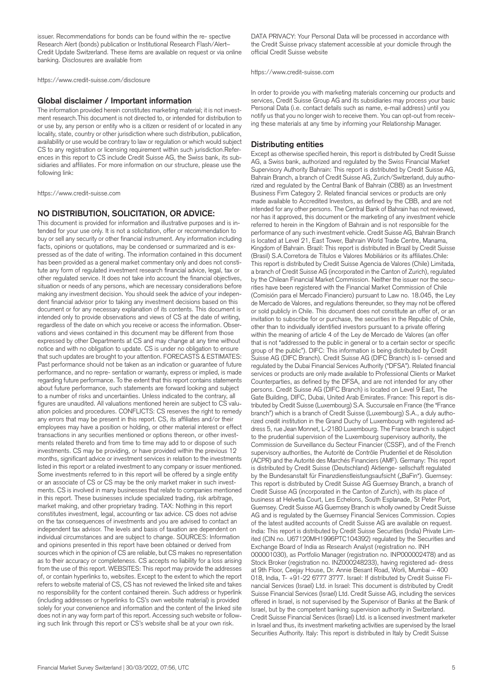issuer. Recommendations for bonds can be found within the re- spective Research Alert (bonds) publication or Institutional Research Flash/Alert– Credit Update Switzerland. These items are available on request or via online banking. Disclosures are available from

<https://www.credit-suisse.com/disclosure>

#### **Global disclaimer / Important information**

The information provided herein constitutes marketing material; it is not investment research.This document is not directed to, or intended for distribution to or use by, any person or entity who is a citizen or resident of or located in any locality, state, country or other jurisdiction where such distribution, publication, availability or use would be contrary to law or regulation or which would subject CS to any registration or licensing requirement within such jurisdiction.References in this report to CS include Credit Suisse AG, the Swiss bank, its subsidiaries and affiliates. For more information on our structure, please use the following link:

<https://www.credit-suisse.com>

#### **NO DISTRIBUTION, SOLICITATION, OR ADVICE:**

This document is provided for information and illustrative purposes and is intended for your use only. It is not a solicitation, offer or recommendation to buy or sell any security or other financial instrument. Any information including facts, opinions or quotations, may be condensed or summarized and is expressed as of the date of writing. The information contained in this document has been provided as a general market commentary only and does not constitute any form of regulated investment research financial advice, legal, tax or other regulated service. It does not take into account the financial objectives, situation or needs of any persons, which are necessary considerations before making any investment decision. You should seek the advice of your independent financial advisor prior to taking any investment decisions based on this document or for any necessary explanation of its contents. This document is intended only to provide observations and views of CS at the date of writing, regardless of the date on which you receive or access the information. Observations and views contained in this document may be different from those expressed by other Departments at CS and may change at any time without notice and with no obligation to update. CS is under no obligation to ensure that such updates are brought to your attention. FORECASTS & ESTIMATES: Past performance should not be taken as an indication or guarantee of future performance, and no repre- sentation or warranty, express or implied, is made regarding future performance. To the extent that this report contains statements about future performance, such statements are forward looking and subject to a number of risks and uncertainties. Unless indicated to the contrary, all figures are unaudited. All valuations mentioned herein are subject to CS valuation policies and procedures. CONFLICTS: CS reserves the right to remedy any errors that may be present in this report. CS, its affiliates and/or their employees may have a position or holding, or other material interest or effect transactions in any securities mentioned or options thereon, or other investments related thereto and from time to time may add to or dispose of such investments. CS may be providing, or have provided within the previous 12 months, significant advice or investment services in relation to the investments listed in this report or a related investment to any company or issuer mentioned. Some investments referred to in this report will be offered by a single entity or an associate of CS or CS may be the only market maker in such investments. CS is involved in many businesses that relate to companies mentioned in this report. These businesses include specialized trading, risk arbitrage, market making, and other proprietary trading. TAX: Nothing in this report constitutes investment, legal, accounting or tax advice. CS does not advise on the tax consequences of investments and you are advised to contact an independent tax advisor. The levels and basis of taxation are dependent on individual circumstances and are subject to change. SOURCES: Information and opinions presented in this report have been obtained or derived from sources which in the opinion of CS are reliable, but CS makes no representation as to their accuracy or completeness. CS accepts no liability for a loss arising from the use of this report. WEBSITES: This report may provide the addresses of, or contain hyperlinks to, websites. Except to the extent to which the report refers to website material of CS, CS has not reviewed the linked site and takes no responsibility for the content contained therein. Such address or hyperlink (including addresses or hyperlinks to CS's own website material) is provided solely for your convenience and information and the content of the linked site does not in any way form part of this report. Accessing such website or following such link through this report or CS's website shall be at your own risk.

DATA PRIVACY: Your Personal Data will be processed in accordance with the Credit Suisse privacy statement accessible at your domicile through the official Credit Suisse website

<https://www.credit-suisse.com>

In order to provide you with marketing materials concerning our products and services, Credit Suisse Group AG and its subsidiaries may process your basic Personal Data (i.e. contact details such as name, e-mail address) until you notify us that you no longer wish to receive them. You can opt-out from receiving these materials at any time by informing your Relationship Manager.

#### **Distributing entities**

Except as otherwise specified herein, this report is distributed by Credit Suisse AG, a Swiss bank, authorized and regulated by the Swiss Financial Market Supervisory Authority Bahrain: This report is distributed by Credit Suisse AG, Bahrain Branch, a branch of Credit Suisse AG, Zurich/Switzerland, duly authorized and regulated by the Central Bank of Bahrain (CBB) as an Investment Business Firm Category 2. Related financial services or products are only made available to Accredited Investors, as defined by the CBB, and are not intended for any other persons. The Central Bank of Bahrain has not reviewed, nor has it approved, this document or the marketing of any investment vehicle referred to herein in the Kingdom of Bahrain and is not responsible for the performance of any such investment vehicle. Credit Suisse AG, Bahrain Branch is located at Level 21, East Tower, Bahrain World Trade Centre, Manama, Kingdom of Bahrain. Brazil: This report is distributed in Brazil by Credit Suisse (Brasil) S.A.Corretora de Títulos e Valores Mobiliários or its affiliates.Chile: This report is distributed by Credit Suisse Agencia de Valores (Chile) Limitada, a branch of Credit Suisse AG (incorporated in the Canton of Zurich), regulated by the Chilean Financial Market Commission. Neither the issuer nor the securities have been registered with the Financial Market Commission of Chile (Comisión para el Mercado Financiero) pursuant to Law no. 18.045, the Ley de Mercado de Valores, and regulations thereunder, so they may not be offered or sold publicly in Chile. This document does not constitute an offer of, or an invitation to subscribe for or purchase, the securities in the Republic of Chile, other than to individually identified investors pursuant to a private offering within the meaning of article 4 of the Ley de Mercado de Valores (an offer that is not "addressed to the public in general or to a certain sector or specific group of the public"). DIFC: This information is being distributed by Credit Suisse AG (DIFC Branch). Credit Suisse AG (DIFC Branch) is li- censed and regulated by the Dubai Financial Services Authority ("DFSA"). Related financial services or products are only made available to Professional Clients or Market Counterparties, as defined by the DFSA, and are not intended for any other persons. Credit Suisse AG (DIFC Branch) is located on Level 9 East, The Gate Building, DIFC, Dubai, United Arab Emirates. France: This report is distributed by Credit Suisse (Luxembourg) S.A. Succursale en France (the "France branch") which is a branch of Credit Suisse (Luxembourg) S.A., a duly authorized credit institution in the Grand Duchy of Luxembourg with registered address 5, rue Jean Monnet, L-2180 Luxembourg. The France branch is subject to the prudential supervision of the Luxembourg supervisory authority, the Commission de Surveillance du Secteur Financier (CSSF), and of the French supervisory authorities, the Autorité de Contrôle Prudentiel et de Résolution (ACPR) and the Autorité des Marchés Financiers (AMF). Germany: This report is distributed by Credit Suisse (Deutschland) Aktienge- sellschaft regulated by the Bundesanstalt für Finanzdienstleistungsaufsicht ("BaFin"). Guernsey: This report is distributed by Credit Suisse AG Guernsey Branch, a branch of Credit Suisse AG (incorporated in the Canton of Zurich), with its place of business at Helvetia Court, Les Echelons, South Esplanade, St Peter Port, Guernsey. Credit Suisse AG Guernsey Branch is wholly owned by Credit Suisse AG and is regulated by the Guernsey Financial Services Commission. Copies of the latest audited accounts of Credit Suisse AG are available on request. India: This report is distributed by Credit Suisse Securities (India) Private Limited (CIN no. U67120MH1996PTC104392) regulated by the Securities and Exchange Board of India as Research Analyst (registration no. INH 000001030), as Portfolio Manager (registration no. INP000002478) and as Stock Broker (registration no. INZ000248233), having registered ad- dress at 9th Floor, Ceejay House, Dr. Annie Besant Road, Worli, Mumbai – 400 018, India, T- +91-22 6777 3777. Israel: If distributed by Credit Suisse Financial Services (Israel) Ltd. in Israel: This document is distributed by Credit Suisse Financial Services (Israel) Ltd. Credit Suisse AG, including the services offered in Israel, is not supervised by the Supervisor of Banks at the Bank of Israel, but by the competent banking supervision authority in Switzerland. Credit Suisse Financial Services (Israel) Ltd. is a licensed investment marketer in Israel and thus, its investment marketing activities are supervised by the Israel Securities Authority. Italy: This report is distributed in Italy by Credit Suisse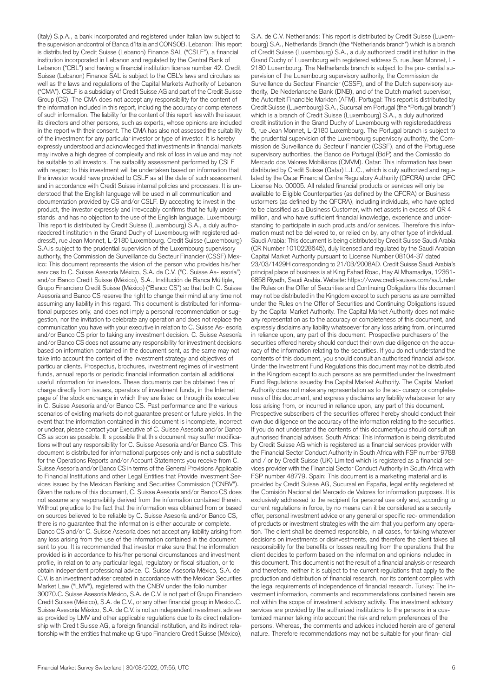(Italy) S.p.A., a bank incorporated and registered under Italian law subject to the supervision andcontrol of Banca d'Italia and CONSOB. Lebanon: This report is distributed by Credit Suisse (Lebanon) Finance SAL ("CSLF"), a financial institution incorporated in Lebanon and regulated by the Central Bank of Lebanon ("CBL") and having a financial institution license number 42. Credit Suisse (Lebanon) Finance SAL is subject to the CBL's laws and circulars as well as the laws and regulations of the Capital Markets Authority of Lebanon ("CMA"). CSLF is a subsidiary of Credit Suisse AG and part of the Credit Suisse Group (CS). The CMA does not accept any responsibility for the content of the information included in this report, including the accuracy or completeness of such information. The liability for the content of this report lies with the issuer, its directors and other persons, such as experts, whose opinions are included in the report with their consent. The CMA has also not assessed the suitability of the investment for any particular investor or type of investor. It is hereby expressly understood and acknowledged that investments in financial markets may involve a high degree of complexity and risk of loss in value and may not be suitable to all investors. The suitability assessment performed by CSLF with respect to this investment will be undertaken based on information that the investor would have provided to CSLF as at the date of such assessment and in accordance with Credit Suisse internal policies and processes. It is understood that the English language will be used in all communication and documentation provided by CS and/or CSLF. By accepting to invest in the product, the investor expressly and irrevocably confirms that he fully understands, and has no objection to the use of the English language. Luxembourg: This report is distributed by Credit Suisse (Luxembourg) S.A., a duly authorizedcredit institution in the Grand Duchy of Luxembourg with registered address5, rue Jean Monnet, L-2180 Luxembourg. Credit Suisse (Luxembourg) S.A.is subject to the prudential supervision of the Luxembourg supervisory authority, the Commission de Surveillance du Secteur Financier (CSSF).Mexico: This document represents the vision of the person who provides his/her services to C. Suisse Asesoría México, S.A. de C.V. ("C. Suisse As- esoría") and/or Banco Credit Suisse (México), S.A., Institución de Banca Múltiple, Grupo Financiero Credit Suisse (México) ("Banco CS") so that both C. Suisse Asesoría and Banco CS reserve the right to change their mind at any time not assuming any liability in this regard. This document is distributed for informational purposes only, and does not imply a personal recommendation or suggestion, nor the invitation to celebrate any operation and does not replace the communication you have with your executive in relation to C. Suisse As- esoría and/or Banco CS prior to taking any investment decision. C. Suisse Asesoría and/or Banco CS does not assume any responsibility for investment decisions based on information contained in the document sent, as the same may not take into account the context of the investment strategy and objectives of particular clients. Prospectus, brochures, investment regimes of investment funds, annual reports or periodic financial information contain all additional useful information for investors. These documents can be obtained free of charge directly from issuers, operators of investment funds, in the Internet page of the stock exchange in which they are listed or through its executive in C. Suisse Asesoría and/or Banco CS. Past performance and the various scenarios of existing markets do not guarantee present or future yields. In the event that the information contained in this document is incomplete, incorrect or unclear, please contact your Executive of C. Suisse Asesoría and/or Banco CS as soon as possible. It is possible that this document may suffer modifications without any responsibility for C. Suisse Asesoría and/or Banco CS. This document is distributed for informational purposes only and is not a substitute for the Operations Reports and/or Account Statements you receive from C. Suisse Asesoría and/or Banco CS in terms of the General Provisions Applicable to Financial Institutions and other Legal Entities that Provide Investment Services issued by the Mexican Banking and Securities Commission ("CNBV"). Given the nature of this document, C. Suisse Asesoría and/or Banco CS does not assume any responsibility derived from the information contained therein. Without prejudice to the fact that the information was obtained from or based on sources believed to be reliable by C. Suisse Asesoría and/or Banco CS, there is no guarantee that the information is either accurate or complete. Banco CS and/or C. Suisse Asesoría does not accept any liability arising from any loss arising from the use of the information contained in the document sent to you. It is recommended that investor make sure that the information provided is in accordance to his/her personal circumstances and investment profile, in relation to any particular legal, regulatory or fiscal situation, or to obtain independent professional advice. C. Suisse Asesoría México, S.A. de C.V. is an investment adviser created in accordance with the Mexican Securities Market Law ("LMV"), registered with the CNBV under the folio number 30070.C. Suisse Asesoría México, S.A. de C.V. is not part of Grupo Financiero Credit Suisse (México), S.A. de C.V., or any other financial group in Mexico.C. Suisse Asesoría México, S.A. de C.V. is not an independent investment adviser as provided by LMV and other applicable regulations due to its direct relationship with Credit Suisse AG, a foreign financial institution, and its indirect relationship with the entities that make up Grupo Financiero Credit Suisse (México),

S.A. de C.V. Netherlands: This report is distributed by Credit Suisse (Luxembourg) S.A., Netherlands Branch (the "Netherlands branch") which is a branch of Credit Suisse (Luxembourg) S.A., a duly authorized credit institution in the Grand Duchy of Luxembourg with registered address 5, rue Jean Monnet, L-2180 Luxembourg. The Netherlands branch is subject to the pru- dential supervision of the Luxembourg supervisory authority, the Commission de Surveillance du Secteur Financier (CSSF), and of the Dutch supervisory authority, De Nederlansche Bank (DNB), and of the Dutch market supervisor, the Autoriteit Financiële Markten (AFM). Portugal: This report is distributed by Credit Suisse (Luxembourg) S.A., Sucursal em Portugal (the "Portugal branch") which is a branch of Credit Suisse (Luxembourg) S.A., a duly authorized credit institution in the Grand Duchy of Luxembourg with registeredaddress 5, rue Jean Monnet, L-2180 Luxembourg. The Portugal branch is subject to the prudential supervision of the Luxembourg supervisory authority, the Commission de Surveillance du Secteur Financier (CSSF), and of the Portuguese supervisory authorities, the Banco de Portugal (BdP) and the Comissão do Mercado dos Valores Mobiliários (CMVM). Qatar: This information has been distributed by Credit Suisse (Qatar) L.L.C., which is duly authorized and regulated by the Qatar Financial Centre Regulatory Authority (QFCRA) under QFC License No. 00005. All related financial products or services will only be available to Eligible Counterparties (as defined by the QFCRA) or Business ustormers (as defined by the QFCRA), including individuals, who have opted to be classified as a Business Customer, with net assets in excess of QR 4 million, and who have sufficient financial knowledge, experience and understanding to participate in such products and/or services. Therefore this information must not be delivered to, or relied on by, any other type of individual. Saudi Arabia: This document is being distributed by Credit Suisse Saudi Arabia (CR Number 1010228645), duly licensed and regulated by the Saudi Arabian Capital Market Authority pursuant to License Number 08104-37 dated 23/03/1429H corresponding to 21/03/2008AD. Credit Suisse Saudi Arabia's principal place of business is at King Fahad Road, Hay Al Mhamadiya, 12361- 6858 Riyadh, Saudi Arabia. Website: <https://www.credit-suisse.com/sa.Under> the Rules on the Offer of Securities and Continuing Obligations this document may not be distributed in the Kingdom except to such persons as are permitted under the Rules on the Offer of Securities and Continuing Obligations issued by the Capital Market Authority. The Capital Market Authority does not make any representation as to the accuracy or completeness of this document, and expressly disclaims any liability whatsoever for any loss arising from, or incurred in reliance upon, any part of this document. Prospective purchasers of the securities offered hereby should conduct their own due diligence on the accuracy of the information relating to the securities. If you do not understand the contents of this document, you should consult an authorised financial advisor. Under the Investment Fund Regulations this document may not be distributed in the Kingdom except to such persons as are permitted under the Investment Fund Regulations issuedby the Capital Market Authority. The Capital Market Authority does not make any representation as to the ac- curacy or completeness of this document, and expressly disclaims any liability whatsoever for any loss arising from, or incurred in reliance upon, any part of this document. Prospective subscribers of the securities offered hereby should conduct their own due diligence on the accuracy of the information relating to the securities. If you do not understand the contents of this documentyou should consult an authorised financial adviser. South Africa: This information is being distributed by Credit Suisse AG which is registered as a financial services provider with the Financial Sector Conduct Authority in South Africa with FSP number 9788 and / or by Credit Suisse (UK) Limited which is registered as a financial services provider with the Financial Sector Conduct Authority in South Africa with FSP number 48779. Spain: This document is a marketing material and is provided by Credit Suisse AG, Sucursal en España, legal entity registered at the Comisión Nacional del Mercado de Valores for information purposes. It is exclusively addressed to the recipient for personal use only and, according to current regulations in force, by no means can it be considered as a security offer, personal investment advice or any general or specific rec- ommendation of products or investment strategies with the aim that you perform any operation. The client shall be deemed responsible, in all cases, for taking whatever decisions on investments or disinvestments, and therefore the client takes all responsibility for the benefits or losses resulting from the operations that the client decides to perform based on the information and opinions included in this document. This document is not the result of a financial analysis or research and therefore, neither it is subject to the current regulations that apply to the production and distribution of financial research, nor its content complies with the legal requirements of independence of financial research. Turkey: The investment information, comments and recommendations contained herein are not within the scope of investment advisory activity. The investment advisory services are provided by the authorized institutions to the persons in a customized manner taking into account the risk and return preferences of the persons. Whereas, the comments and advices included herein are of general nature. Therefore recommendations may not be suitable for your finan- cial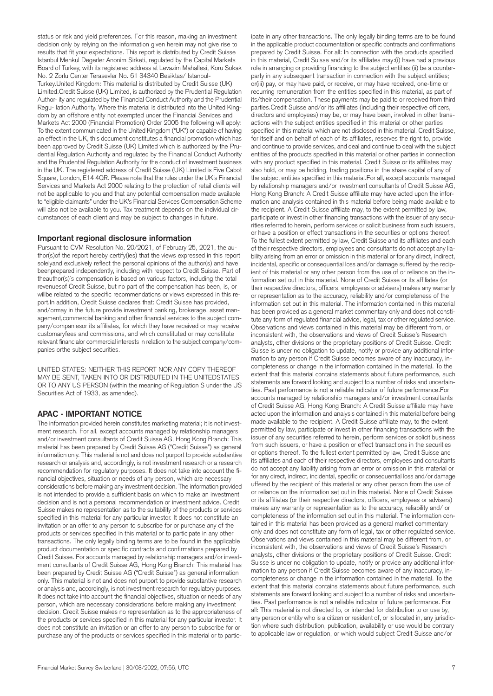status or risk and yield preferences. For this reason, making an investment decision only by relying on the information given herein may not give rise to results that fit your expectations. This report is distributed by Credit Suisse Istanbul Menkul Degerler Anonim Sirketi, regulated by the Capital Markets Board of Turkey, with its registered address at Levazim Mahallesi, Koru Sokak No. 2 Zorlu Center Terasevler No. 61 34340 Besiktas/ Istanbul-Turkey.United Kingdom: This material is distributed by Credit Suisse (UK) Limited.Credit Suisse (UK) Limited, is authorized by the Prudential Regulation Author- ity and regulated by the Financial Conduct Authority and the Prudential Regu- lation Authority. Where this material is distributed into the United Kingdom by an offshore entity not exempted under the Financial Services and Markets Act 2000 (Financial Promotion) Order 2005 the following will apply: To the extent communicated in the United Kingdom ("UK") or capable of having an effect in the UK, this document constitutes a financial promotion which has been approved by Credit Suisse (UK) Limited which is authorized by the Prudential Regulation Authority and regulated by the Financial Conduct Authority and the Prudential Regulation Authority for the conduct of investment business in the UK. The registered address of Credit Suisse (UK) Limited is Five Cabot Square, London, E14 4QR. Please note that the rules under the UK's Financial Services and Markets Act 2000 relating to the protection of retail clients will not be applicable to you and that any potential compensation made available to "eligible claimants" under the UK's Financial Services Compensation Scheme will also not be available to you. Tax treatment depends on the individual circumstances of each client and may be subject to changes in future.

#### **Important regional disclosure information**

Pursuant to CVM Resolution No. 20/2021, of February 25, 2021, the author(s)of the report hereby certify(ies) that the views expressed in this report solelyand exclusively reflect the personal opinions of the author(s) and have beenprepared independently, including with respect to Credit Suisse. Part of theauthor(s)´s compensation is based on various factors, including the total revenuesof Credit Suisse, but no part of the compensation has been, is, or willbe related to the specific recommendations or views expressed in this report.In addition, Credit Suisse declares that: Credit Suisse has provided, and/ormay in the future provide investment banking, brokerage, asset management,commercial banking and other financial services to the subject company/companiesor its affiliates, for which they have received or may receive customaryfees and commissions, and which constituted or may constitute relevant financialor commercial interests in relation to the subject company/companies orthe subject securities.

UNITED STATES: NEITHER THIS REPORT NOR ANY COPY THEREOF MAY BE SENT, TAKEN INTO OR DISTRIBUTED IN THE UNITEDSTATES OR TO ANY US PERSON (within the meaning of Regulation S under the US Securities Act of 1933, as amended).

#### **APAC - IMPORTANT NOTICE**

The information provided herein constitutes marketing material; it is not investment research. For all, except accounts managed by relationship managers and/or investment consultants of Credit Suisse AG, Hong Kong Branch: This material has been prepared by Credit Suisse AG ("Credit Suisse") as general information only. This material is not and does not purport to provide substantive research or analysis and, accordingly, is not investment research or a research recommendation for regulatory purposes. It does not take into account the financial objectives, situation or needs of any person, which are necessary considerations before making any investment decision. The information provided is not intended to provide a sufficient basis on which to make an investment decision and is not a personal recommendation or investment advice. Credit Suisse makes no representation as to the suitability of the products or services specified in this material for any particular investor. It does not constitute an invitation or an offer to any person to subscribe for or purchase any of the products or services specified in this material or to participate in any other transactions. The only legally binding terms are to be found in the applicable product documentation or specific contracts and confirmations prepared by Credit Suisse. For accounts managed by relationship managers and/or investment consultants of Credit Suisse AG, Hong Kong Branch: This material has been prepared by Credit Suisse AG ("Credit Suisse") as general information only. This material is not and does not purport to provide substantive research or analysis and, accordingly, is not investment research for regulatory purposes. It does not take into account the financial objectives, situation or needs of any person, which are necessary considerations before making any investment decision. Credit Suisse makes no representation as to the appropriateness of the products or services specified in this material for any particular investor. It does not constitute an invitation or an offer to any person to subscribe for or purchase any of the products or services specified in this material or to partic-

in the applicable product documentation or specific contracts and confirmations prepared by Credit Suisse. For all: In connection with the products specified in this material, Credit Suisse and/or its affiliates may:(i) have had a previous role in arranging or providing financing to the subject entities;(ii) be a counterparty in any subsequent transaction in connection with the subject entities; or(iii) pay, or may have paid, or receive, or may have received, one-time or recurring remuneration from the entities specified in this material, as part of its/their compensation. These payments may be paid to or received from third parties.Credit Suisse and/or its affiliates (including their respective officers, directors and employees) may be, or may have been, involved in other transactions with the subject entities specified in this material or other parties specified in this material which are not disclosed in this material. Credit Suisse, for itself and on behalf of each of its affiliates, reserves the right to, provide and continue to provide services, and deal and continue to deal with the subject entities of the products specified in this material or other parties in connection with any product specified in this material. Credit Suisse or its affiliates may also hold, or may be holding, trading positions in the share capital of any of the subject entities specified in this material.For all, except accounts managed by relationship managers and/or investment consultants of Credit Suisse AG, Hong Kong Branch: A Credit Suisse affiliate may have acted upon the information and analysis contained in this material before being made available to the recipient. A Credit Suisse affiliate may, to the extent permitted by law, participate or invest in other financing transactions with the issuer of any securities referred to herein, perform services or solicit business from such issuers, or have a position or effect transactions in the securities or options thereof. To the fullest extent permitted by law, Credit Suisse and its affiliates and each of their respective directors, employees and consultants do not accept any liability arising from an error or omission in this material or for any direct, indirect, incidental, specific or consequential loss and/or damage suffered by the recipient of this material or any other person from the use of or reliance on the information set out in this material. None of Credit Suisse or its affiliates (or their respective directors, officers, employees or advisers) makes any warranty or representation as to the accuracy, reliability and/or completeness of the information set out in this material. The information contained in this material has been provided as a general market commentary only and does not constitute any form of regulated financial advice, legal, tax or other regulated service. Observations and views contained in this material may be different from, or inconsistent with, the observations and views of Credit Suisse's Research analysts, other divisions or the proprietary positions of Credit Suisse. Credit Suisse is under no obligation to update, notify or provide any additional information to any person if Credit Suisse becomes aware of any inaccuracy, incompleteness or change in the information contained in the material. To the extent that this material contains statements about future performance, such statements are forward looking and subject to a number of risks and uncertainties. Past performance is not a reliable indicator of future performance.For accounts managed by relationship managers and/or investment consultants of Credit Suisse AG, Hong Kong Branch: A Credit Suisse affiliate may have acted upon the information and analysis contained in this material before being made available to the recipient. A Credit Suisse affiliate may, to the extent permitted by law, participate or invest in other financing transactions with the issuer of any securities referred to herein, perform services or solicit business from such issuers, or have a position or effect transactions in the securities or options thereof. To the fullest extent permitted by law, Credit Suisse and its affiliates and each of their respective directors, employees and consultants do not accept any liability arising from an error or omission in this material or for any direct, indirect, incidental, specific or consequential loss and/or damage uffered by the recipient of this material or any other person from the use of or reliance on the information set out in this material. None of Credit Suisse or its affiliates (or their respective directors, officers, employees or advisers) makes any warranty or representation as to the accuracy, reliability and/ or completeness of the information set out in this material. The information contained in this material has been provided as a general market commentary only and does not constitute any form of legal, tax or other regulated service. Observations and views contained in this material may be different from, or inconsistent with, the observations and views of Credit Suisse's Research analysts, other divisions or the proprietary positions of Credit Suisse. Credit Suisse is under no obligation to update, notify or provide any additional information to any person if Credit Suisse becomes aware of any inaccuracy, incompleteness or change in the information contained in the material. To the extent that this material contains statements about future performance, such statements are forward looking and subject to a number of risks and uncertainties. Past performance is not a reliable indicator of future performance. For all: This material is not directed to, or intended for distribution to or use by, any person or entity who is a citizen or resident of, or is located in, any jurisdiction where such distribution, publication, availability or use would be contrary to applicable law or regulation, or which would subject Credit Suisse and/or

ipate in any other transactions. The only legally binding terms are to be found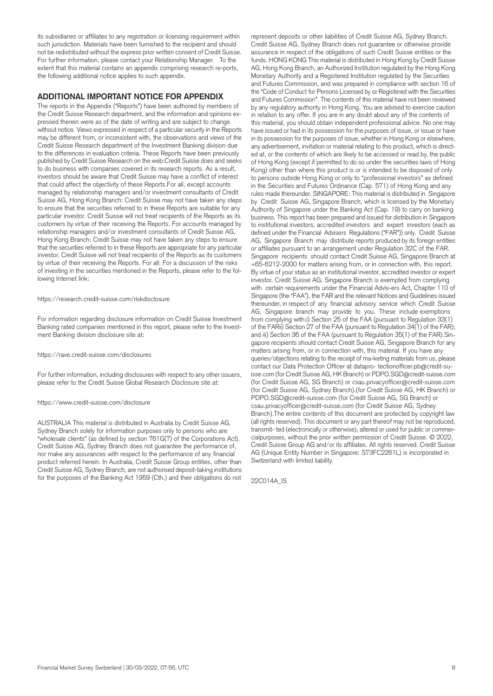its subsidiaries or affiliates to any registration or licensing requirement within such jurisdiction. Materials have been furnished to the recipient and should not be redistributed without the express prior written consent of Credit Suisse. For further information, please contact your Relationship Manager. To the extent that this material contains an appendix comprising research re-ports, the following additional notice applies to such appendix.

#### **ADDITIONAL IMPORTANT NOTICE FOR APPENDIX**

The reports in the Appendix ("Reports") have been authored by members of the Credit Suisse Research department, and the information and opinions expressed therein were as of the date of writing and are subject to change without notice. Views expressed in respect of a particular security in the Reports may be different from, or inconsistent with, the observations and views of the Credit Suisse Research department of the Investment Banking division due to the differences in evaluation criteria. These Reports have been previously published by Credit Suisse Research on the web:Credit Suisse does and seeks to do business with companies covered in its research reports. As a result, investors should be aware that Credit Suisse may have a conflict of interest that could affect the objectivity of these Reports.For all, except accounts managed by relationship managers and/or investment consultants of Credit Suisse AG, Hong Kong Branch: Credit Suisse may not have taken any steps to ensure that the securities referred to in these Reports are suitable for any particular investor. Credit Suisse will not treat recipients of the Reports as its customers by virtue of their receiving the Reports. For accounts managed by relationship managers and/or investment consultants of Credit Suisse AG, Hong Kong Branch: Credit Suisse may not have taken any steps to ensure that the securities referred to in these Reports are appropriate for any particular investor. Credit Suisse will not treat recipients of the Reports as its customers by virtue of their receiving the Reports. For all: For a discussion of the risks of investing in the securities mentioned in the Reports, please refer to the following Internet link:

#### <https://research.credit-suisse.com/riskdisclosure>

For information regarding disclosure information on Credit Suisse Investment Banking rated companies mentioned in this report, please refer to the Investment Banking division disclosure site at:

#### <https://rave.credit-suisse.com/disclosures>

For further information, including disclosures with respect to any other issuers, please refer to the Credit Suisse Global Research Disclosure site at:

#### <https://www.credit-suisse.com/disclosure>

AUSTRALIA This material is distributed in Australia by Credit Suisse AG, Sydney Branch solely for information purposes only to persons who are "wholesale clients" (as defined by section 761G(7) of the Corporations Act). Credit Suisse AG, Sydney Branch does not guarantee the performance of, nor make any assurances with respect to the performance of any financial product referred herein. In Australia, Credit Suisse Group entities, other than Credit Suisse AG, Sydney Branch, are not authorised deposit-taking institutions for the purposes of the Banking Act 1959 (Cth.) and their obligations do not

represent deposits or other liabilities of Credit Suisse AG, Sydney Branch. Credit Suisse AG, Sydney Branch does not guarantee or otherwise provide assurance in respect of the obligations of such Credit Suisse entities or the funds. HONG KONG This material is distributed in Hong Kong by Credit Suisse AG, Hong Kong Branch, an Authorized Institution regulated by the Hong Kong Monetary Authority and a Registered Institution regulated by the Securities and Futures Commission, and was prepared in compliance with section 16 of the "Code of Conduct for Persons Licensed by or Registered with the Securities and Futures Commission". The contents of this material have not been reviewed by any regulatory authority in Hong Kong. You are advised to exercise caution in relation to any offer. If you are in any doubt about any of the contents of this material, you should obtain independent professional advice. No one may have issued or had in its possession for the purposes of issue, or issue or have in its possession for the purposes of issue, whether in Hong Kong or elsewhere, any advertisement, invitation or material relating to this product, which is directed at, or the contents of which are likely to be accessed or read by, the public of Hong Kong (except if permitted to do so under the securities laws of Hong Kong) other than where this product is or is intended to be disposed of only to persons outside Hong Kong or only to "professional investors" as defined in the Securities and Futures Ordinance (Cap. 571) of Hong Kong and any rules made thereunder. SINGAPORE: This material is distributed in Singapore by Credit Suisse AG, Singapore Branch, which is licensed by the Monetary Authority of Singapore under the Banking Act (Cap. 19) to carry on banking business. This report has been prepared and issued for distribution in Singapore to institutional investors, accredited investors and expert investors (each as defined under the Financial Advisers Regulations ("FAR")) only. Credit Suisse AG, Singapore Branch may distribute reports produced by its foreign entities or affiliates pursuant to an arrangement under Regulation 32C of the FAR. Singapore recipients should contact Credit Suisse AG, Singapore Branch at +65-6212-2000 for matters arising from, or in connection with, this report. By virtue of your status as an institutional investor, accredited investor or expert investor, Credit Suisse AG, Singapore Branch is exempted from complying with certain requirements under the Financial Advis-ers Act, Chapter 110 of Singapore (the "FAA"), the FAR and the relevant Notices and Guidelines issued thereunder, in respect of any financial advisory service which Credit Suisse AG, Singapore branch may provide to you. These include exemptions from complying with:i) Section 25 of the FAA (pursuant to Regulation 33(1) of the FARii) Section 27 of the FAA (pursuant to Regulation 34(1) of the FAR); and iii) Section 36 of the FAA (pursuant to Regulation 35(1) of the FAR).Singapore recipients should contact Credit Suisse AG, Singapore Branch for any matters arising from, or in connection with, this material. If you have any queries/objections relating to the receipt of ma-keting materials from us, please contact our Data Protection Officer at [datapro- tectionofficer.pb@credit-su](mailto:datapro-tectionofficer.pb@credit-su)[isse.com](https://isse.com) (for Credit Suisse AG, HK Branch) or [PDPO.SGD@credit-suisse.com](mailto:PDPO.SGD@credit-suisse.com) (for Credit Suisse AG, SG Branch) or [csau.privacyofficer@credit-suisse.com](mailto:csau.privacyofficer@credit-suisse.com) (for Credit Suisse AG, Sydney Branch).(for Credit Suisse AG, HK Branch) or [PDPO.SGD@credit-suisse.com](mailto:PDPO.SGD@credit-suisse.com) (for Credit Suisse AG, SG Branch) or [csau.privacyofficer@credit-suisse.com](mailto:csau.privacyofficer@credit-suisse.com) (for Credit Suisse AG, Sydney Branch).The entire contents of this document are protected by copyright law (all rights reserved). This document or any part thereof may not be reproduced, transmit- ted (electronically or otherwise), altered or used for public or commercialpurposes, without the prior written permission of Credit Suisse. © 2022, Credit Suisse Group AG and/or its affiliates. All rights reserved. Credit Suisse AG (Unique Entity Number in Singapore: S73FC2261L) is incorporated in Switzerland with limited liability.

22C014A\_IS